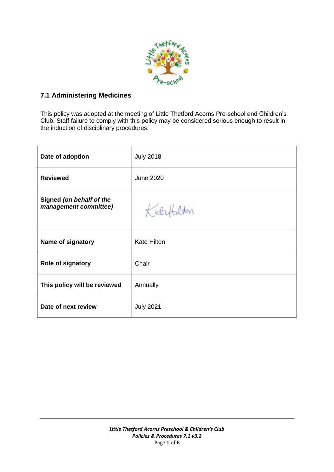

## **7.1 Administering Medicines**

This policy was adopted at the meeting of Little Thetford Acorns Pre-school and Children's Club. Staff failure to comply with this policy may be considered serious enough to result in the induction of disciplinary procedures.

| Date of adoption                                  | <b>July 2018</b>   |
|---------------------------------------------------|--------------------|
| <b>Reviewed</b>                                   | <b>June 2020</b>   |
| Signed (on behalf of the<br>management committee) | Katef              |
| Name of signatory                                 | <b>Kate Hilton</b> |
| Role of signatory                                 | Chair              |
| This policy will be reviewed                      | Annually           |
| Date of next review                               | <b>July 2021</b>   |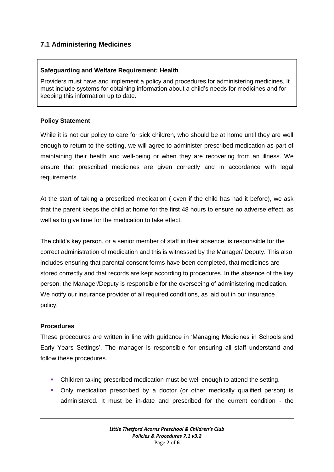# **7.1 Administering Medicines**

### **Safeguarding and Welfare Requirement: Health**

Providers must have and implement a policy and procedures for administering medicines, It must include systems for obtaining information about a child's needs for medicines and for keeping this information up to date.

### **Policy Statement**

While it is not our policy to care for sick children, who should be at home until they are well enough to return to the setting, we will agree to administer prescribed medication as part of maintaining their health and well-being or when they are recovering from an illness. We ensure that prescribed medicines are given correctly and in accordance with legal requirements.

At the start of taking a prescribed medication ( even if the child has had it before), we ask that the parent keeps the child at home for the first 48 hours to ensure no adverse effect, as well as to give time for the medication to take effect.

The child's key person, or a senior member of staff in their absence, is responsible for the correct administration of medication and this is witnessed by the Manager/ Deputy. This also includes ensuring that parental consent forms have been completed, that medicines are stored correctly and that records are kept according to procedures. In the absence of the key person, the Manager/Deputy is responsible for the overseeing of administering medication. We notify our insurance provider of all required conditions, as laid out in our insurance policy.

### **Procedures**

These procedures are written in line with guidance in 'Managing Medicines in Schools and Early Years Settings'. The manager is responsible for ensuring all staff understand and follow these procedures.

- Children taking prescribed medication must be well enough to attend the setting.
- Only medication prescribed by a doctor (or other medically qualified person) is administered. It must be in-date and prescribed for the current condition - the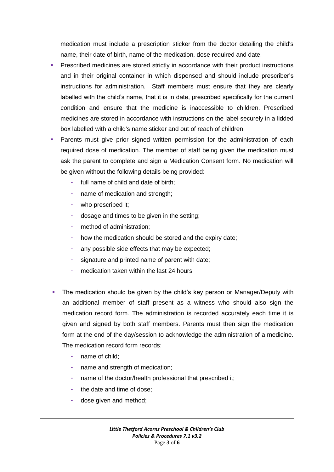medication must include a prescription sticker from the doctor detailing the child's name, their date of birth, name of the medication, dose required and date.

- Prescribed medicines are stored strictly in accordance with their product instructions and in their original container in which dispensed and should include prescriber's instructions for administration. Staff members must ensure that they are clearly labelled with the child's name, that it is in date, prescribed specifically for the current condition and ensure that the medicine is inaccessible to children. Prescribed medicines are stored in accordance with instructions on the label securely in a lidded box labelled with a child's name sticker and out of reach of children.
- Parents must give prior signed written permission for the administration of each required dose of medication. The member of staff being given the medication must ask the parent to complete and sign a Medication Consent form. No medication will be given without the following details being provided:
	- full name of child and date of birth;
	- name of medication and strength:
	- who prescribed it;
	- dosage and times to be given in the setting;
	- method of administration;
	- how the medication should be stored and the expiry date;
	- any possible side effects that may be expected;
	- signature and printed name of parent with date;
	- medication taken within the last 24 hours
- The medication should be given by the child's key person or Manager/Deputy with an additional member of staff present as a witness who should also sign the medication record form. The administration is recorded accurately each time it is given and signed by both staff members. Parents must then sign the medication form at the end of the day/session to acknowledge the administration of a medicine. The medication record form records:
	- name of child:
	- name and strength of medication;
	- name of the doctor/health professional that prescribed it;
	- the date and time of dose;
	- dose given and method;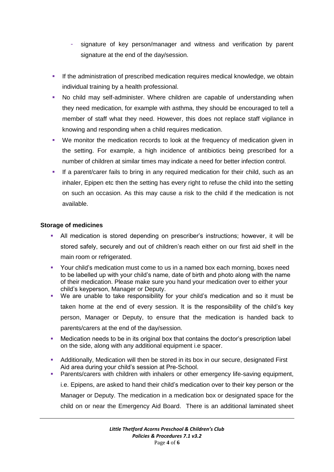- signature of key person/manager and witness and verification by parent signature at the end of the day/session.
- **If the administration of prescribed medication requires medical knowledge, we obtain** individual training by a health professional.
- No child may self-administer. Where children are capable of understanding when they need medication, for example with asthma, they should be encouraged to tell a member of staff what they need. However, this does not replace staff vigilance in knowing and responding when a child requires medication.
- We monitor the medication records to look at the frequency of medication given in the setting. For example, a high incidence of antibiotics being prescribed for a number of children at similar times may indicate a need for better infection control.
- If a parent/carer fails to bring in any required medication for their child, such as an inhaler, Epipen etc then the setting has every right to refuse the child into the setting on such an occasion. As this may cause a risk to the child if the medication is not available.

### **Storage of medicines**

- All medication is stored depending on prescriber's instructions; however, it will be stored safely, securely and out of children's reach either on our first aid shelf in the main room or refrigerated.
- Your child's medication must come to us in a named box each morning, boxes need to be labelled up with your child's name, date of birth and photo along with the name of their medication. Please make sure you hand your medication over to either your child's keyperson, Manager or Deputy.
- We are unable to take responsibility for your child's medication and so it must be taken home at the end of every session. It is the responsibility of the child's key person, Manager or Deputy, to ensure that the medication is handed back to parents/carers at the end of the day/session.
- Medication needs to be in its original box that contains the doctor's prescription label on the side, along with any additional equipment i.e spacer.
- Additionally, Medication will then be stored in its box in our secure, designated First Aid area during your child's session at Pre-School.
- Parents/carers with children with inhalers or other emergency life-saving equipment, i.e. Epipens, are asked to hand their child's medication over to their key person or the Manager or Deputy. The medication in a medication box or designated space for the child on or near the Emergency Aid Board. There is an additional laminated sheet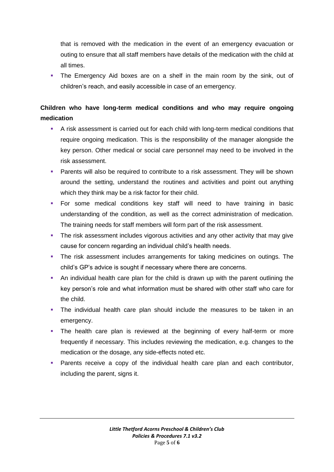that is removed with the medication in the event of an emergency evacuation or outing to ensure that all staff members have details of the medication with the child at all times.

 The Emergency Aid boxes are on a shelf in the main room by the sink, out of children's reach, and easily accessible in case of an emergency.

# **Children who have long-term medical conditions and who may require ongoing medication**

- A risk assessment is carried out for each child with long-term medical conditions that require ongoing medication. This is the responsibility of the manager alongside the key person. Other medical or social care personnel may need to be involved in the risk assessment.
- Parents will also be required to contribute to a risk assessment. They will be shown around the setting, understand the routines and activities and point out anything which they think may be a risk factor for their child.
- For some medical conditions key staff will need to have training in basic understanding of the condition, as well as the correct administration of medication. The training needs for staff members will form part of the risk assessment.
- The risk assessment includes vigorous activities and any other activity that may give cause for concern regarding an individual child's health needs.
- The risk assessment includes arrangements for taking medicines on outings. The child's GP's advice is sought if necessary where there are concerns.
- An individual health care plan for the child is drawn up with the parent outlining the key person's role and what information must be shared with other staff who care for the child.
- The individual health care plan should include the measures to be taken in an emergency.
- The health care plan is reviewed at the beginning of every half-term or more frequently if necessary. This includes reviewing the medication, e.g. changes to the medication or the dosage, any side-effects noted etc.
- **Parents receive a copy of the individual health care plan and each contributor,** including the parent, signs it.